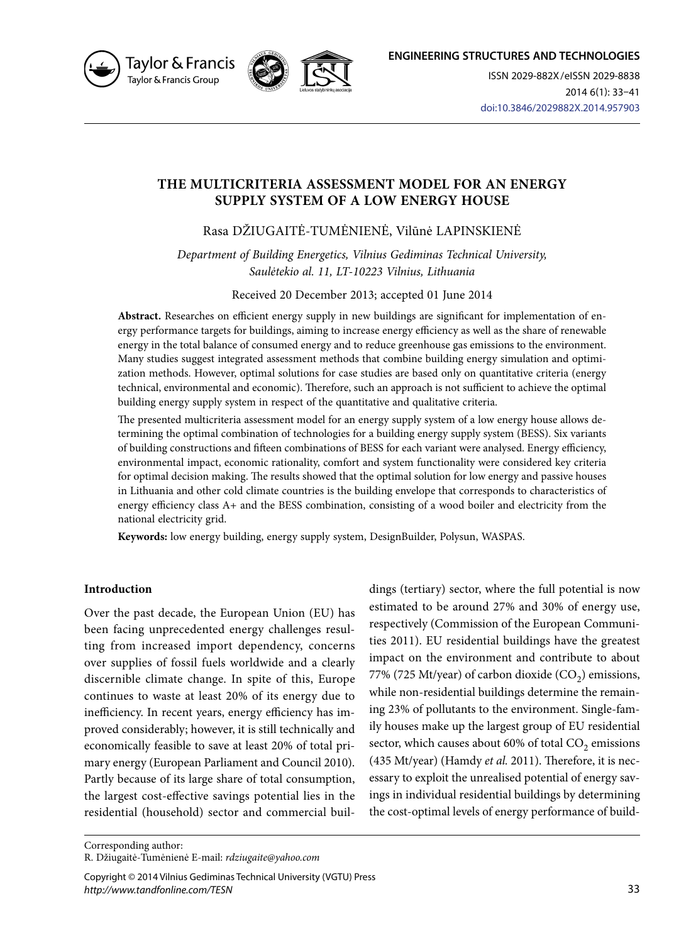





ISSN 2029-882X/eISSN 2029-8838 2014 6(1): 33–41 doi:10.3846/2029882X.2014.957903

# **THE MULTICRITERIA ASSESSMENT MODEL FOR AN ENERGY SUPPLY SYSTEM OF A LOW ENERGY HOUSE**

Rasa DŽIUGAITĖ-TUMĖNIENĖ, Vilūnė LAPINSKIENĖ

*Department of Building Energetics, Vilnius Gediminas Technical University, Saulėtekio al. 11, LT-10223 Vilnius, Lithuania*

Received 20 December 2013; accepted 01 June 2014

**Abstract.** Researches on efficient energy supply in new buildings are significant for implementation of energy performance targets for buildings, aiming to increase energy efficiency as well as the share of renewable energy in the total balance of consumed energy and to reduce greenhouse gas emissions to the environment. Many studies suggest integrated assessment methods that combine building energy simulation and optimization methods. However, optimal solutions for case studies are based only on quantitative criteria (energy technical, environmental and economic). Therefore, such an approach is not sufficient to achieve the optimal building energy supply system in respect of the quantitative and qualitative criteria.

The presented multicriteria assessment model for an energy supply system of a low energy house allows determining the optimal combination of technologies for a building energy supply system (BESS). Six variants of building constructions and fifteen combinations of BESS for each variant were analysed. Energy efficiency, environmental impact, economic rationality, comfort and system functionality were considered key criteria for optimal decision making. The results showed that the optimal solution for low energy and passive houses in Lithuania and other cold climate countries is the building envelope that corresponds to characteristics of energy efficiency class A+ and the BESS combination, consisting of a wood boiler and electricity from the national electricity grid.

**Keywords:** low energy building, energy supply system, DesignBuilder, Polysun, WASPAS.

# **Introduction**

Over the past decade, the European Union (EU) has been facing unprecedented energy challenges resulting from increased import dependency, concerns over supplies of fossil fuels worldwide and a clearly discernible climate change. In spite of this, Europe continues to waste at least 20% of its energy due to inefficiency. In recent years, energy efficiency has improved considerably; however, it is still technically and economically feasible to save at least 20% of total primary energy (European Parliament and Council 2010). Partly because of its large share of total consumption, the largest cost-effective savings potential lies in the residential (household) sector and commercial buil-

dings (tertiary) sector, where the full potential is now estimated to be around 27% and 30% of energy use, respectively (Commission of the European Communities 2011). EU residential buildings have the greatest impact on the environment and contribute to about 77% (725 Mt/year) of carbon dioxide  $(CO<sub>2</sub>)$  emissions, while non-residential buildings determine the remaining 23% of pollutants to the environment. Single-family houses make up the largest group of EU residential sector, which causes about  $60\%$  of total  $CO<sub>2</sub>$  emissions (435 Mt/year) (Hamdy *et al.* 2011). Therefore, it is necessary to exploit the unrealised potential of energy savings in individual residential buildings by determining the cost-optimal levels of energy performance of build-

Corresponding author:

R. Džiugaitė-Tumėnienė E-mail: *rdziugaite@yahoo.com*

Copyright © 2014 Vilnius Gediminas Technical University (VGTU) Press *http://www.tandfonline.com/TESN*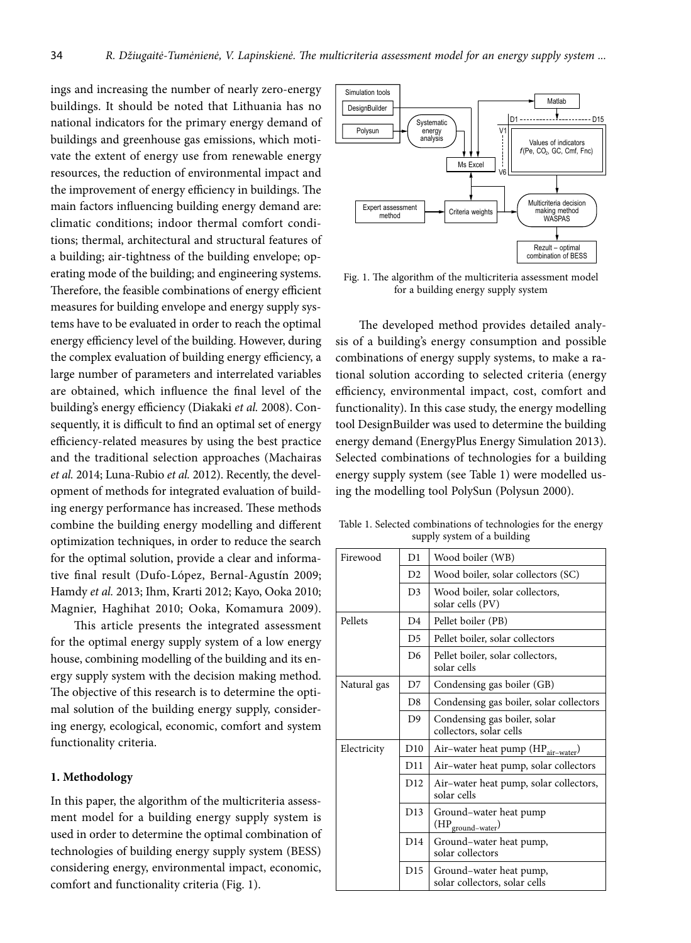ings and increasing the number of nearly zero-energy buildings. It should be noted that Lithuania has no national indicators for the primary energy demand of buildings and greenhouse gas emissions, which motivate the extent of energy use from renewable energy resources, the reduction of environmental impact and the improvement of energy efficiency in buildings. The main factors influencing building energy demand are: climatic conditions; indoor thermal comfort conditions; thermal, architectural and structural features of a building; air-tightness of the building envelope; operating mode of the building; and engineering systems. Therefore, the feasible combinations of energy efficient measures for building envelope and energy supply systems have to be evaluated in order to reach the optimal energy efficiency level of the building. However, during the complex evaluation of building energy efficiency, a large number of parameters and interrelated variables are obtained, which influence the final level of the building's energy efficiency (Diakaki *et al.* 2008). Consequently, it is difficult to find an optimal set of energy efficiency-related measures by using the best practice and the traditional selection approaches (Machairas *et al.* 2014; Luna-Rubio *et al.* 2012). Recently, the development of methods for integrated evaluation of building energy performance has increased. These methods combine the building energy modelling and different optimization techniques, in order to reduce the search for the optimal solution, provide a clear and informative final result (Dufo-López, Bernal-Agustín 2009; Hamdy *et al.* 2013; Ihm, Krarti 2012; Kayo, Ooka 2010; Magnier, Haghihat 2010; Ooka, Komamura 2009).

This article presents the integrated assessment for the optimal energy supply system of a low energy house, combining modelling of the building and its energy supply system with the decision making method. The objective of this research is to determine the optimal solution of the building energy supply, considering energy, ecological, economic, comfort and system functionality criteria.

## **1. Methodology**

In this paper, the algorithm of the multicriteria assessment model for a building energy supply system is used in order to determine the optimal combination of technologies of building energy supply system (BESS) considering energy, environmental impact, economic, comfort and functionality criteria (Fig. 1).



Fig. 1. The algorithm of the multicriteria assessment model for a building energy supply system

The developed method provides detailed analysis of a building's energy consumption and possible combinations of energy supply systems, to make a rational solution according to selected criteria (energy efficiency, environmental impact, cost, comfort and functionality). In this case study, the energy modelling tool DesignBuilder was used to determine the building energy demand (EnergyPlus Energy Simulation 2013). Selected combinations of technologies for a building energy supply system (see Table 1) were modelled using the modelling tool PolySun (Polysun 2000).

Table 1. Selected combinations of technologies for the energy supply system of a building

| Firewood    | D1              | Wood boiler (WB)                                         |  |  |
|-------------|-----------------|----------------------------------------------------------|--|--|
|             | D <sub>2</sub>  | Wood boiler, solar collectors (SC)                       |  |  |
|             | D <sub>3</sub>  | Wood boiler, solar collectors,<br>solar cells (PV)       |  |  |
| Pellets     | D <sub>4</sub>  | Pellet boiler (PB)                                       |  |  |
|             | D <sub>5</sub>  | Pellet boiler, solar collectors                          |  |  |
|             | D <sub>6</sub>  | Pellet boiler, solar collectors,<br>solar cells          |  |  |
| Natural gas | D7              | Condensing gas boiler (GB)                               |  |  |
|             | D <sub>8</sub>  | Condensing gas boiler, solar collectors                  |  |  |
|             | D <sub>9</sub>  | Condensing gas boiler, solar<br>collectors, solar cells  |  |  |
| Electricity | D10             | Air-water heat pump (HP <sub>air-water</sub> )           |  |  |
|             | D11             | Air-water heat pump, solar collectors                    |  |  |
|             | D <sub>12</sub> | Air-water heat pump, solar collectors,<br>solar cells    |  |  |
|             | D13             | Ground-water heat pump<br>$(HP_{\text{ground-water}})$   |  |  |
|             | D14             | Ground–water heat pump,<br>solar collectors              |  |  |
|             | D <sub>15</sub> | Ground-water heat pump,<br>solar collectors, solar cells |  |  |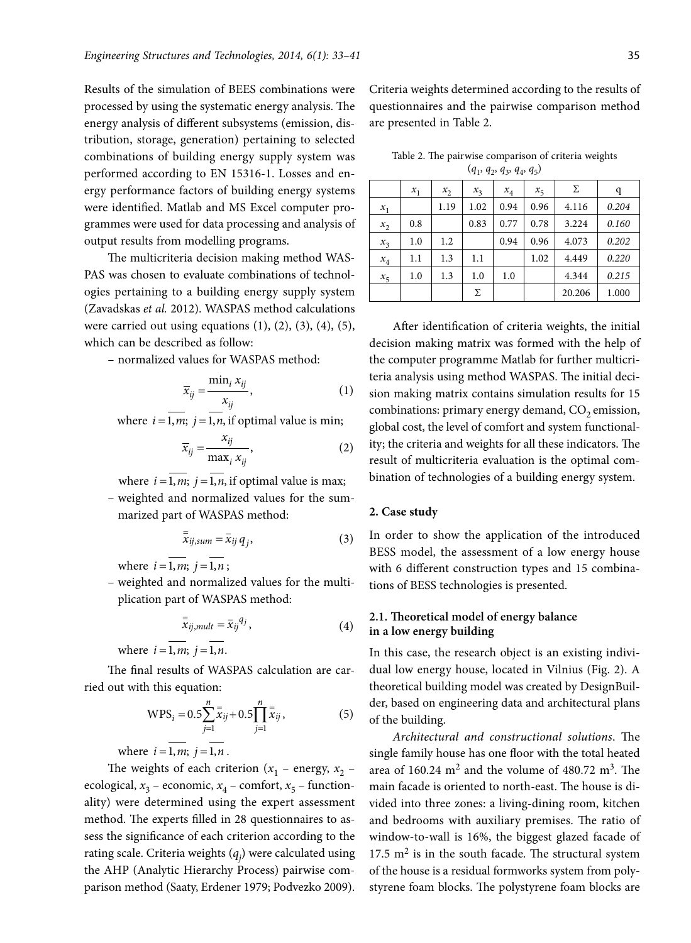Results of the simulation of BEES combinations were processed by using the systematic energy analysis. The energy analysis of different subsystems (emission, distribution, storage, generation) pertaining to selected combinations of building energy supply system was performed according to EN 15316-1. Losses and energy performance factors of building energy systems were identified. Matlab and MS Excel computer programmes were used for data processing and analysis of output results from modelling programs.

The multicriteria decision making method WAS-PAS was chosen to evaluate combinations of technologies pertaining to a building energy supply system (Zavadskas *et al.* 2012). WASPAS method calculations were carried out using equations  $(1)$ ,  $(2)$ ,  $(3)$ ,  $(4)$ ,  $(5)$ , which can be described as follow:

– normalized values for WASPAS method:

$$
\overline{x}_{ij} = \frac{\min_i x_{ij}}{x_{ij}},
$$
\n(1)

where  $i = \overline{1,m}$ ;  $j = \overline{1,n}$ , if optimal value is min;

$$
\overline{x}_{ij} = \frac{x_{ij}}{\max_i x_{ij}},
$$
 (2)

where  $i = 1, m$ ;  $j = 1, n$ , if optimal value is max;

– weighted and normalized values for the summarized part of WASPAS method:

$$
\overline{\overline{x}}_{ij,sum} = \overline{x}_{ij} q_j,
$$
\n(3)

where  $i = \overline{1,m}$ ;  $j = \overline{1,n}$ ;

– weighted and normalized values for the multiplication part of WASPAS method:

$$
\bar{\bar{x}}_{ij,mult} = \bar{x}_{ij}^{q_j}, \qquad (4)
$$

where  $i = \overline{1, m}$ ;  $j = \overline{1, n}$ .

The final results of WASPAS calculation are carried out with this equation:

$$
WPS_i = 0.5 \sum_{j=1}^{n} \overline{x}_{ij} + 0.5 \prod_{j=1}^{n} \overline{x}_{ij},
$$
 (5)

where  $i = 1, m; j = 1, n$ .

The weights of each criterion  $(x_1 -$  energy,  $x_2$ ecological,  $x_3$  – economic,  $x_4$  – comfort,  $x_5$  – functionality) were determined using the expert assessment method. The experts filled in 28 questionnaires to assess the significance of each criterion according to the rating scale. Criteria weights (*qj* ) were calculated using the AHP (Analytic Hierarchy Process) pairwise comparison method (Saaty, Erdener 1979; Podvezko 2009).

Criteria weights determined according to the results of questionnaires and the pairwise comparison method are presented in Table 2.

Table 2. The pairwise comparison of criteria weights  $(q_1, q_2, q_3, q_4, q_5)$ 

|         | $x_1$ | $x_2$ | $x_3$ | $x_4$ | $x_{5}$ | Σ      | q     |
|---------|-------|-------|-------|-------|---------|--------|-------|
| $x_1$   |       | 1.19  | 1.02  | 0.94  | 0.96    | 4.116  | 0.204 |
| $x_2$   | 0.8   |       | 0.83  | 0.77  | 0.78    | 3.224  | 0.160 |
| $x_3$   | 1.0   | 1.2   |       | 0.94  | 0.96    | 4.073  | 0.202 |
| $x_4$   | 1.1   | 1.3   | 1.1   |       | 1.02    | 4.449  | 0.220 |
| $x_{5}$ | 1.0   | 1.3   | 1.0   | 1.0   |         | 4.344  | 0.215 |
|         |       |       | Σ     |       |         | 20.206 | 1.000 |

After identification of criteria weights, the initial decision making matrix was formed with the help of the computer programme Matlab for further multicriteria analysis using method WASPAS. The initial decision making matrix contains simulation results for 15 combinations: primary energy demand,  $CO<sub>2</sub>$  emission, global cost, the level of comfort and system functionality; the criteria and weights for all these indicators. The result of multicriteria evaluation is the optimal combination of technologies of a building energy system.

#### **2. Case study**

In order to show the application of the introduced BESS model, the assessment of a low energy house with 6 different construction types and 15 combinations of BESS technologies is presented.

## **2.1. Theoretical model of energy balance in a low energy building**

In this case, the research object is an existing individual low energy house, located in Vilnius (Fig. 2). A theoretical building model was created by DesignBuilder, based on engineering data and architectural plans of the building.

*Architectural and constructional solutions*. The single family house has one floor with the total heated area of 160.24  $m<sup>2</sup>$  and the volume of 480.72  $m<sup>3</sup>$ . The main facade is oriented to north-east. The house is divided into three zones: a living-dining room, kitchen and bedrooms with auxiliary premises. The ratio of window-to-wall is 16%, the biggest glazed facade of  $17.5$  m<sup>2</sup> is in the south facade. The structural system of the house is a residual formworks system from polystyrene foam blocks. The polystyrene foam blocks are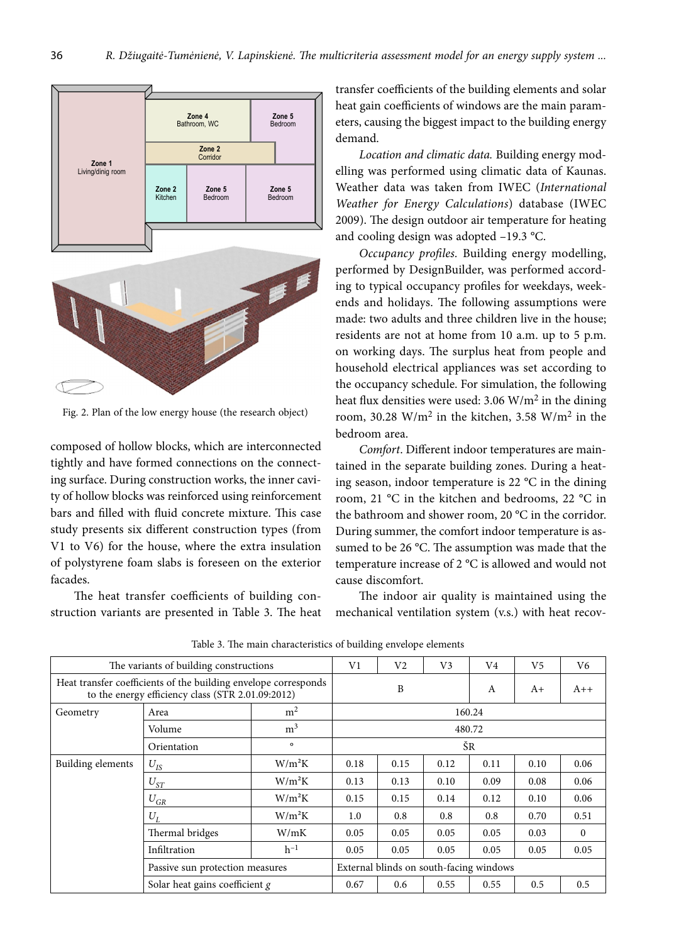

Fig. 2. Plan of the low energy house (the research object)

composed of hollow blocks, which are interconnected tightly and have formed connections on the connecting surface. During construction works, the inner cavity of hollow blocks was reinforced using reinforcement bars and filled with fluid concrete mixture. This case study presents six different construction types (from V1 to V6) for the house, where the extra insulation of polystyrene foam slabs is foreseen on the exterior facades.

The heat transfer coefficients of building construction variants are presented in Table 3. The heat transfer coefficients of the building elements and solar heat gain coefficients of windows are the main parameters, causing the biggest impact to the building energy demand.

*Location and climatic data.* Building energy modelling was performed using climatic data of Kaunas. Weather data was taken from IWEC (*International Weather for Energy Calculations*) database (IWEC 2009). The design outdoor air temperature for heating and cooling design was adopted –19.3 °C.

*Occupancy profiles.* Building energy modelling, performed by DesignBuilder, was performed according to typical occupancy profiles for weekdays, weekends and holidays. The following assumptions were made: two adults and three children live in the house; residents are not at home from 10 a.m. up to 5 p.m. on working days. The surplus heat from people and household electrical appliances was set according to the occupancy schedule. For simulation, the following heat flux densities were used:  $3.06 \text{ W/m}^2$  in the dining room, 30.28 W/m<sup>2</sup> in the kitchen, 3.58 W/m<sup>2</sup> in the bedroom area.

*Comfort*. Different indoor temperatures are maintained in the separate building zones. During a heating season, indoor temperature is 22 °C in the dining room, 21 °C in the kitchen and bedrooms, 22 °C in the bathroom and shower room, 20 °C in the corridor. During summer, the comfort indoor temperature is assumed to be 26 °C. The assumption was made that the temperature increase of 2 °C is allowed and would not cause discomfort.

The indoor air quality is maintained using the mechanical ventilation system (v.s.) with heat recov-

|                                  | The variants of building constructions                                                                               |                |                                         | V2     | V <sub>3</sub> | V4   | V <sub>5</sub> | V6       |
|----------------------------------|----------------------------------------------------------------------------------------------------------------------|----------------|-----------------------------------------|--------|----------------|------|----------------|----------|
|                                  | Heat transfer coefficients of the building envelope corresponds<br>to the energy efficiency class (STR 2.01.09:2012) |                |                                         | B      |                | A    | $A+$           | $A++$    |
| Geometry                         | Area                                                                                                                 | m <sup>2</sup> | 160.24                                  |        |                |      |                |          |
|                                  | Volume                                                                                                               | m <sup>3</sup> |                                         | 480.72 |                |      |                |          |
|                                  | Orientation                                                                                                          | $\mathbf{o}$   |                                         | ŠR     |                |      |                |          |
| Building elements                | $U_{IS}$                                                                                                             | $W/m^2K$       | 0.18                                    | 0.15   | 0.12           | 0.11 | 0.10           | 0.06     |
|                                  | $U_{ST}$                                                                                                             | $W/m^2K$       | 0.13                                    | 0.13   | 0.10           | 0.09 | 0.08           | 0.06     |
|                                  | $U_{GR}$                                                                                                             | $W/m^2K$       | 0.15                                    | 0.15   | 0.14           | 0.12 | 0.10           | 0.06     |
|                                  | $U_L$                                                                                                                | $W/m^2K$       | 1.0                                     | 0.8    | 0.8            | 0.8  | 0.70           | 0.51     |
|                                  | Thermal bridges                                                                                                      | W/mK           | 0.05                                    | 0.05   | 0.05           | 0.05 | 0.03           | $\theta$ |
|                                  | Infiltration                                                                                                         | $h^{-1}$       | 0.05                                    | 0.05   | 0.05           | 0.05 | 0.05           | 0.05     |
| Passive sun protection measures  |                                                                                                                      |                | External blinds on south-facing windows |        |                |      |                |          |
| Solar heat gains coefficient $g$ |                                                                                                                      |                | 0.67                                    | 0.6    | 0.55           | 0.55 | 0.5            | 0.5      |

Table 3. The main characteristics of building envelope elements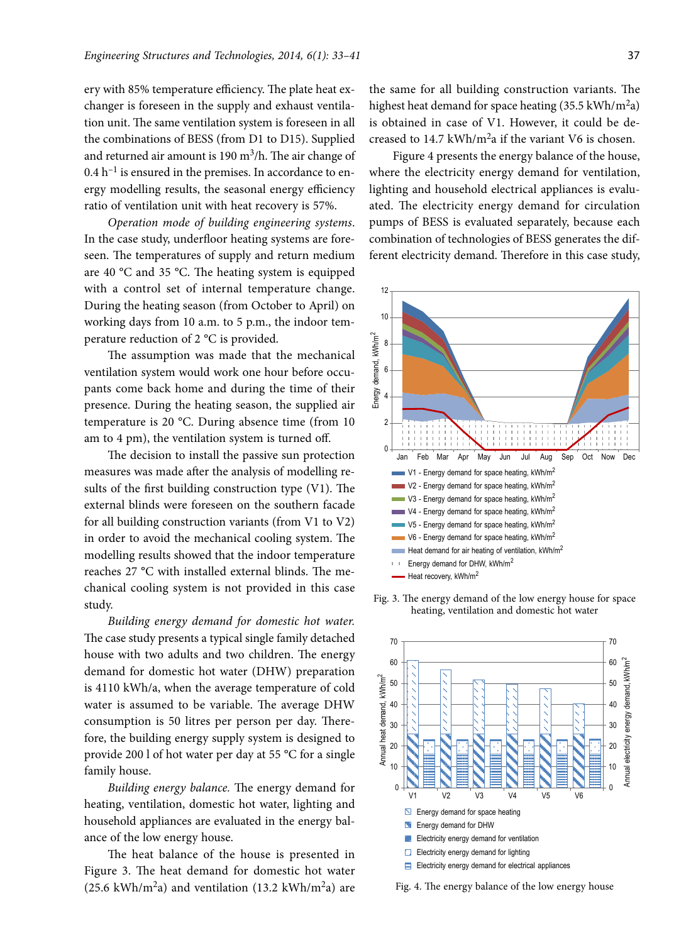ery with 85% temperature efficiency. The plate heat exchanger is foreseen in the supply and exhaust ventilation unit. The same ventilation system is foreseen in all the combinations of BESS (from D1 to D15). Supplied and returned air amount is 190  $m^3/h$ . The air change of  $0.4 h^{-1}$  is ensured in the premises. In accordance to energy modelling results, the seasonal energy efficiency ratio of ventilation unit with heat recovery is 57%.

*Operation mode of building engineering systems*. In the case study, underfloor heating systems are foreseen. The temperatures of supply and return medium are 40 °C and 35 °C. The heating system is equipped with a control set of internal temperature change. During the heating season (from October to April) on working days from 10 a.m. to 5 p.m., the indoor temperature reduction of 2 °C is provided.

The assumption was made that the mechanical ventilation system would work one hour before occupants come back home and during the time of their presence. During the heating season, the supplied air temperature is 20 °C. During absence time (from 10 am to 4 pm), the ventilation system is turned off.

The decision to install the passive sun protection measures was made after the analysis of modelling results of the first building construction type (V1). The external blinds were foreseen on the southern facade for all building construction variants (from V1 to V2) in order to avoid the mechanical cooling system. The modelling results showed that the indoor temperature reaches 27 **°**C with installed external blinds. The mechanical cooling system is not provided in this case study.

*Building energy demand for domestic hot water.*  The case study presents a typical single family detached house with two adults and two children. The energy demand for domestic hot water (DHW) preparation is 4110 kWh/a, when the average temperature of cold water is assumed to be variable. The average DHW consumption is 50 litres per person per day. Therefore, the building energy supply system is designed to provide 200 l of hot water per day at 55 °C for a single family house.

*Building energy balance.* The energy demand for heating, ventilation, domestic hot water, lighting and household appliances are evaluated in the energy balance of the low energy house.

The heat balance of the house is presented in Figure 3. The heat demand for domestic hot water  $(25.6 \text{ kWh/m}^2a)$  and ventilation  $(13.2 \text{ kWh/m}^2a)$  are

the same for all building construction variants. The highest heat demand for space heating  $(35.5 \text{ kWh/m}^2a)$ is obtained in case of V1. However, it could be decreased to 14.7 kWh/ $m<sup>2</sup>a$  if the variant V6 is chosen.

Figure 4 presents the energy balance of the house, where the electricity energy demand for ventilation, lighting and household electrical appliances is evaluated. The electricity energy demand for circulation pumps of BESS is evaluated separately, because each combination of technologies of BESS generates the different electricity demand. Therefore in this case study,



Fig. 3. The energy demand of the low energy house for space heating, ventilation and domestic hot water



Fig. 4. The energy balance of the low energy house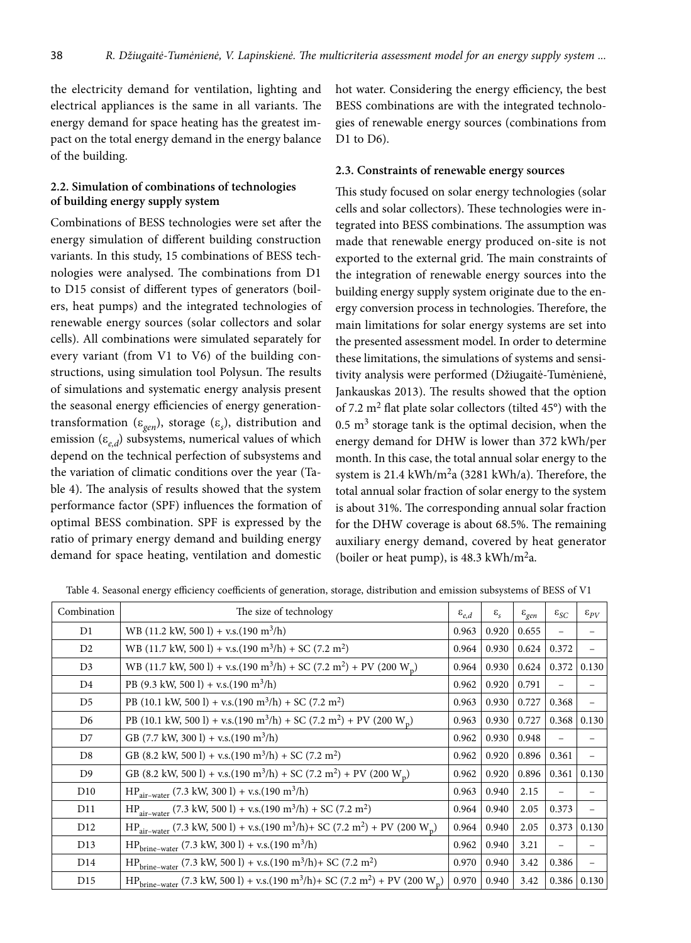the electricity demand for ventilation, lighting and electrical appliances is the same in all variants. The energy demand for space heating has the greatest impact on the total energy demand in the energy balance of the building.

# **2.2. Simulation of combinations of technologies of building energy supply system**

Combinations of BESS technologies were set after the energy simulation of different building construction variants. In this study, 15 combinations of BESS technologies were analysed. The combinations from D1 to D15 consist of different types of generators (boilers, heat pumps) and the integrated technologies of renewable energy sources (solar collectors and solar cells). All combinations were simulated separately for every variant (from V1 to V6) of the building constructions, using simulation tool Polysun. The results of simulations and systematic energy analysis present the seasonal energy efficiencies of energy generationtransformation (ε*gen*), storage (ε*<sup>s</sup>* ), distribution and emission (ε*e,d*) subsystems, numerical values of which depend on the technical perfection of subsystems and the variation of climatic conditions over the year (Table 4). The analysis of results showed that the system performance factor (SPF) influences the formation of optimal BESS combination. SPF is expressed by the ratio of primary energy demand and building energy demand for space heating, ventilation and domestic

hot water. Considering the energy efficiency, the best BESS combinations are with the integrated technologies of renewable energy sources (combinations from D1 to D6).

## **2.3. Constraints of renewable energy sources**

This study focused on solar energy technologies (solar cells and solar collectors). These technologies were integrated into BESS combinations. The assumption was made that renewable energy produced on-site is not exported to the external grid. The main constraints of the integration of renewable energy sources into the building energy supply system originate due to the energy conversion process in technologies. Therefore, the main limitations for solar energy systems are set into the presented assessment model. In order to determine these limitations, the simulations of systems and sensitivity analysis were performed (Džiugaitė-Tumėnienė, Jankauskas 2013). The results showed that the option of 7.2  $m<sup>2</sup>$  flat plate solar collectors (tilted 45 $^{\circ}$ ) with the  $0.5$  m<sup>3</sup> storage tank is the optimal decision, when the energy demand for DHW is lower than 372 kWh/per month. In this case, the total annual solar energy to the system is 21.4 kWh/m<sup>2</sup>a (3281 kWh/a). Therefore, the total annual solar fraction of solar energy to the system is about 31%. The corresponding annual solar fraction for the DHW coverage is about 68.5%. The remaining auxiliary energy demand, covered by heat generator (boiler or heat pump), is  $48.3 \text{ kWh/m}^2$ a.

| Combination     | The size of technology                                                                                                       | $\varepsilon_{e,d}$ | $\varepsilon$ | $\varepsilon_{gen}$ | $\varepsilon_{SC}$ | $\varepsilon_{pV}$ |
|-----------------|------------------------------------------------------------------------------------------------------------------------------|---------------------|---------------|---------------------|--------------------|--------------------|
| D1              | WB (11.2 kW, 500 l) + v.s. (190 m <sup>3</sup> /h)                                                                           | 0.963               | 0.920         | 0.655               |                    |                    |
| D <sub>2</sub>  | WB (11.7 kW, 500 l) + v.s. $(190 \text{ m}^3/\text{h}) + \text{SC}$ (7.2 m <sup>2</sup> )                                    | 0.964               | 0.930         | 0.624               | 0.372              |                    |
| D <sub>3</sub>  | WB (11.7 kW, 500 l) + v.s. (190 m <sup>3</sup> /h) + SC (7.2 m <sup>2</sup> ) + PV (200 W <sub>p</sub> )                     | 0.964               | 0.930         | 0.624               | 0.372              | 0.130              |
| D4              | PB (9.3 kW, 500 l) + v.s. (190 m <sup>3</sup> /h)                                                                            | 0.962               | 0.920         | 0.791               |                    |                    |
| D5              | PB (10.1 kW, 500 l) + v.s. (190 m <sup>3</sup> /h) + SC (7.2 m <sup>2</sup> )                                                | 0.963               | 0.930         | 0.727               | 0.368              |                    |
| D <sub>6</sub>  | PB (10.1 kW, 500 l) + v.s.(190 m <sup>3</sup> /h) + SC (7.2 m <sup>2</sup> ) + PV (200 W <sub>n</sub> )                      | 0.963               | 0.930         | 0.727               | 0.368              | 0.130              |
| D7              | GB $(7.7 \text{ kW}, 300 \text{ l}) + \text{v.s.} (190 \text{ m}^3/\text{h})$                                                | 0.962               | 0.930         | 0.948               |                    |                    |
| D <sub>8</sub>  | GB (8.2 kW, 500 l) + v.s. $(190 \text{ m}^3/\text{h})$ + SC (7.2 m <sup>2</sup> )                                            | 0.962               | 0.920         | 0.896               | 0.361              |                    |
| D <sub>9</sub>  | GB (8.2 kW, 500 l) + v.s.(190 m <sup>3</sup> /h) + SC (7.2 m <sup>2</sup> ) + PV (200 W <sub>n</sub> )                       | 0.962               | 0.920         | 0.896               | 0.361              | 0.130              |
| D10             | $HP_{air-water}$ (7.3 kW, 300 l) + v.s. (190 m <sup>3</sup> /h)                                                              | 0.963               | 0.940         | 2.15                |                    |                    |
| D11             | $HP_{air-water}$ (7.3 kW, 500 l) + v.s. (190 m <sup>3</sup> /h) + SC (7.2 m <sup>2</sup> )                                   | 0.964               | 0.940         | 2.05                | 0.373              |                    |
| D <sub>12</sub> | $HP_{air-water}$ (7.3 kW, 500 l) + v.s. (190 m <sup>3</sup> /h) + SC (7.2 m <sup>2</sup> ) + PV (200 W <sub>p</sub> )        | 0.964               | 0.940         | 2.05                | 0.373              | 0.130              |
| D <sub>13</sub> | $HP_{\text{brine-water}}$ (7.3 kW, 300 l) + v.s. (190 m <sup>3</sup> /h)                                                     | 0.962               | 0.940         | 3.21                |                    |                    |
| D14             | $HP_{\text{brine-water}}$ (7.3 kW, 500 l) + v.s.(190 m <sup>3</sup> /h)+ SC (7.2 m <sup>2</sup> )                            | 0.970               | 0.940         | 3.42                | 0.386              |                    |
| D <sub>15</sub> | $HP_{\text{brine-water}}$ (7.3 kW, 500 l) + v.s.(190 m <sup>3</sup> /h)+ SC (7.2 m <sup>2</sup> ) + PV (200 W <sub>p</sub> ) | 0.970               | 0.940         | 3.42                |                    | $0.386 \mid 0.130$ |

Table 4. Seasonal energy efficiency coefficients of generation, storage, distribution and emission subsystems of BESS of V1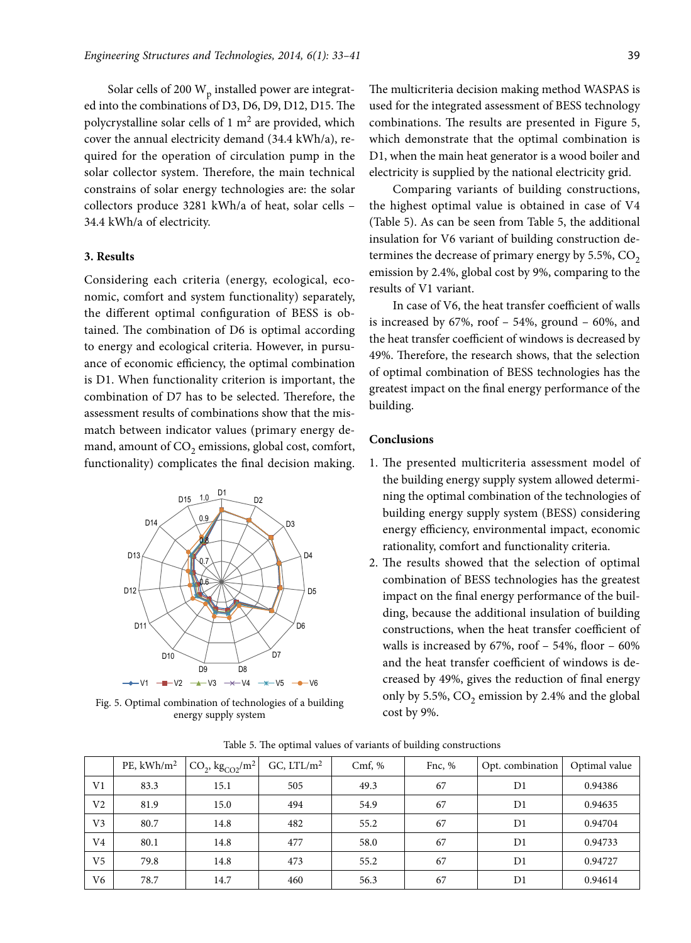Solar cells of 200  $W_p$  installed power are integrated into the combinations of D3, D6, D9, D12, D15. The polycrystalline solar cells of  $1 \text{ m}^2$  are provided, which cover the annual electricity demand (34.4 kWh/a), required for the operation of circulation pump in the solar collector system. Therefore, the main technical constrains of solar energy technologies are: the solar collectors produce 3281 kWh/a of heat, solar cells – 34.4 kWh/a of electricity.

#### **3. Results**

Considering each criteria (energy, ecological, economic, comfort and system functionality) separately, the different optimal configuration of BESS is obtained. The combination of D6 is optimal according to energy and ecological criteria. However, in pursuance of economic efficiency, the optimal combination is D1. When functionality criterion is important, the combination of D7 has to be selected. Therefore, the assessment results of combinations show that the mismatch between indicator values (primary energy demand, amount of  $CO<sub>2</sub>$  emissions, global cost, comfort, functionality) complicates the final decision making.



Fig. 5. Optimal combination of technologies of a building only by 5.5.<br>cost by 9%. energy supply system

The multicriteria decision making method WASPAS is used for the integrated assessment of BESS technology combinations. The results are presented in Figure 5, which demonstrate that the optimal combination is D1, when the main heat generator is a wood boiler and electricity is supplied by the national electricity grid.

Comparing variants of building constructions, the highest optimal value is obtained in case of V4 (Table 5). As can be seen from Table 5, the additional insulation for V6 variant of building construction determines the decrease of primary energy by  $5.5\%$ ,  $CO<sub>2</sub>$ emission by 2.4%, global cost by 9%, comparing to the results of V1 variant.

In case of V6, the heat transfer coefficient of walls is increased by 67%, roof – 54%, ground – 60%, and the heat transfer coefficient of windows is decreased by 49%. Therefore, the research shows, that the selection of optimal combination of BESS technologies has the greatest impact on the final energy performance of the building.

### **Conclusions**

- 1. The presented multicriteria assessment model of the building energy supply system allowed determining the optimal combination of the technologies of building energy supply system (BESS) considering energy efficiency, environmental impact, economic rationality, comfort and functionality criteria.
- 2. The results showed that the selection of optimal combination of BESS technologies has the greatest impact on the final energy performance of the building, because the additional insulation of building constructions, when the heat transfer coefficient of walls is increased by  $67\%$ , roof  $-54\%$ , floor  $-60\%$ and the heat transfer coefficient of windows is decreased by 49%, gives the reduction of final energy only by 5.5%,  $CO<sub>2</sub>$  emission by 2.4% and the global

|                | PE, $kWh/m^2$ | $ CO_2, \text{kg}_{CO2}/\text{m}^2 $ | GC, $LTL/m2$ | Cmf, % | Fnc, $%$ | Opt. combination | Optimal value |
|----------------|---------------|--------------------------------------|--------------|--------|----------|------------------|---------------|
| V <sub>1</sub> | 83.3          | 15.1                                 | 505          | 49.3   | 67       | D <sub>1</sub>   | 0.94386       |
| V <sub>2</sub> | 81.9          | 15.0                                 | 494          | 54.9   | 67       | D <sub>1</sub>   | 0.94635       |
| V <sub>3</sub> | 80.7          | 14.8                                 | 482          | 55.2   | 67       | D <sub>1</sub>   | 0.94704       |
| V4             | 80.1          | 14.8                                 | 477          | 58.0   | 67       | D <sub>1</sub>   | 0.94733       |
| V <sub>5</sub> | 79.8          | 14.8                                 | 473          | 55.2   | 67       | D <sub>1</sub>   | 0.94727       |
| V <sub>6</sub> | 78.7          | 14.7                                 | 460          | 56.3   | 67       | D <sub>1</sub>   | 0.94614       |

Table 5. The optimal values of variants of building constructions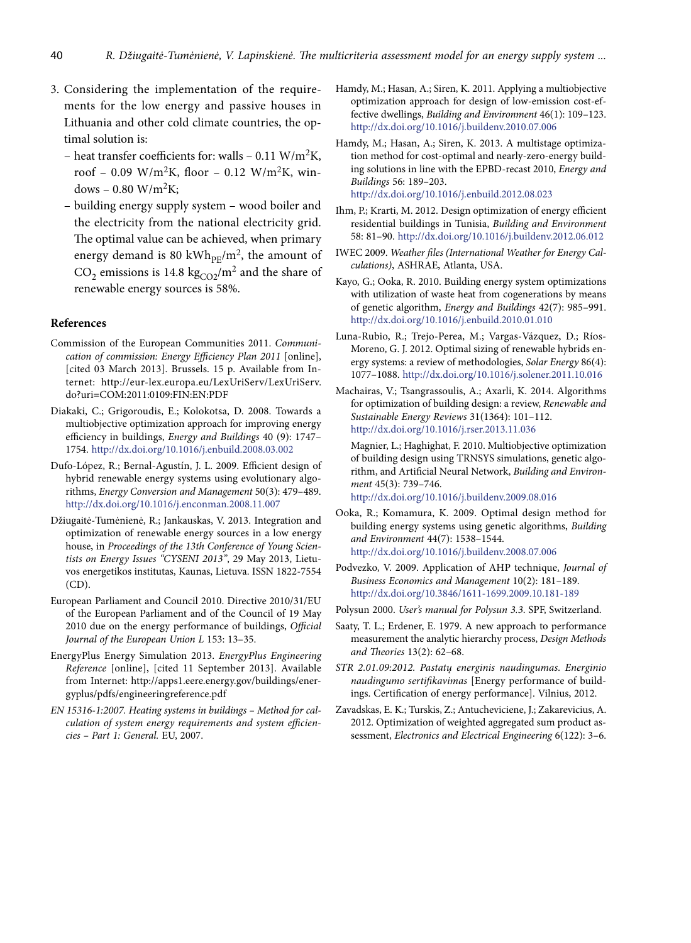- 3. Considering the implementation of the requirements for the low energy and passive houses in Lithuania and other cold climate countries, the optimal solution is:
	- heat transfer coefficients for: walls  $0.11 \text{ W/m}^2\text{K}$ , roof  $-0.09 \text{ W/m}^2\text{K}$ , floor  $-0.12 \text{ W/m}^2\text{K}$ , windows  $-0.80$  W/m<sup>2</sup>K;
	- building energy supply system wood boiler and the electricity from the national electricity grid. The optimal value can be achieved, when primary energy demand is 80 kWh<sub>pF</sub>/m<sup>2</sup>, the amount of  $CO_2$  emissions is 14.8 kg<sub>CO2</sub>/m<sup>2</sup> and the share of renewable energy sources is 58%.

#### **References**

- Commission of the European Communities 2011. *Communication of commission: Energy Efficiency Plan 2011* [online], [cited 03 March 2013]. Brussels. 15 p. Available from Internet: http://eur-lex.europa.eu/LexUriServ/LexUriServ. do?uri=COM:2011:0109:FIN:EN:PDF
- Diakaki, C.; Grigoroudis, E.; Kolokotsa, D. 2008. Towards a multiobjective optimization approach for improving energy efficiency in buildings, *Energy and Buildings* 40 (9): 1747– 1754. http://dx.doi.org/10.1016/j.enbuild.2008.03.002
- Dufo-López, R.; Bernal-Agustín, J. L. 2009. Efficient design of hybrid renewable energy systems using evolutionary algorithms, *Energy Conversion and Management* 50(3): 479–489. http://dx.doi.org/10.1016/j.enconman.2008.11.007
- Džiugaitė-Tumėnienė, R.; Jankauskas, V. 2013. Integration and optimization of renewable energy sources in a low energy house, in *Proceedings of the 13th Conference of Young Scientists on Energy Issues "CYSENI 2013"*, 29 May 2013, Lietuvos energetikos institutas, Kaunas, Lietuva. ISSN 1822-7554 (CD).
- European Parliament and Council 2010. Directive 2010/31/EU of the European Parliament and of the Council of 19 May 2010 due on the energy performance of buildings, *Official Journal of the European Union L* 153: 13–35.
- EnergyPlus Energy Simulation 2013. *EnergyPlus Engineering Reference* [online], [cited 11 September 2013]. Available from Internet: http://apps1.eere.energy.gov/buildings/energyplus/pdfs/engineeringreference.pdf
- *EN 15316-1:2007. Heating systems in buildings Method for calculation of system energy requirements and system efficiencies – Part 1: General.* EU, 2007.
- Hamdy, M.; Hasan, A.; Siren, K. 2011. Applying a multiobjective optimization approach for design of low-emission cost-effective dwellings, *Building and Environment* 46(1): 109–123. http://dx.doi.org/10.1016/j.buildenv.2010.07.006
- Hamdy, M.; Hasan, A.; Siren, K. 2013. A multistage optimization method for cost-optimal and nearly-zero-energy building solutions in line with the EPBD-recast 2010, *Energy and Buildings* 56: 189–203. http://dx.doi.org/10.1016/j.enbuild.2012.08.023
- Ihm, P.; Krarti, M. 2012. Design optimization of energy efficient residential buildings in Tunisia, *Building and Environment* 58: 81–90. http://dx.doi.org/10.1016/j.buildenv.2012.06.012
- IWEC 2009. *Weather files (International Weather for Energy Calculations)*, ASHRAE, Atlanta, USA.
- Kayo, G.; Ooka, R. 2010. Building energy system optimizations with utilization of waste heat from cogenerations by means of genetic algorithm, *Energy and Buildings* 42(7): 985–991. http://dx.doi.org/10.1016/j.enbuild.2010.01.010
- Luna-Rubio, R.; Trejo-Perea, M.; Vargas-Vázquez, D.; Ríos-Moreno, G. J. 2012. Optimal sizing of renewable hybrids energy systems: a review of methodologies, *Solar Energy* 86(4): 1077–1088. http://dx.doi.org/10.1016/j.solener.2011.10.016
- Machairas, V.; Tsangrassoulis, A.; Axarli, K. 2014. Algorithms for optimization of building design: a review, *Renewable and Sustainable Energy Reviews* 31(1364): 101–112. http://dx.doi.org/10.1016/j.rser.2013.11.036
	- Magnier, L.; Haghighat, F. 2010. Multiobjective optimization of building design using TRNSYS simulations, genetic algorithm, and Artificial Neural Network, *Building and Environment* 45(3): 739–746.

http://dx.doi.org/10.1016/j.buildenv.2009.08.016

- Ooka, R.; Komamura, K. 2009. Optimal design method for building energy systems using genetic algorithms, *Building and Environment* 44(7): 1538–1544. http://dx.doi.org/10.1016/j.buildenv.2008.07.006
- Podvezko, V. 2009. Application of AHP technique, *Journal of Business Economics and Management* 10(2): 181–189. http://dx.doi.org/10.3846/1611-1699.2009.10.181-189

Polysun 2000. *User's manual for Polysun 3.3*. SPF, Switzerland.

- Saaty, T. L.; Erdener, E. 1979. A new approach to performance measurement the analytic hierarchy process, *Design Methods and Theories* 13(2): 62–68.
- *STR 2.01.09:2012. Pastatų energinis naudingumas. Energinio naudingumo sertifikavimas* [Energy performance of buildings. Certification of energy performance]. Vilnius, 2012.
- Zavadskas, E. K.; Turskis, Z.; Antucheviciene, J.; Zakarevicius, A. 2012. Optimization of weighted aggregated sum product assessment, *Electronics and Electrical Engineering* 6(122): 3–6.